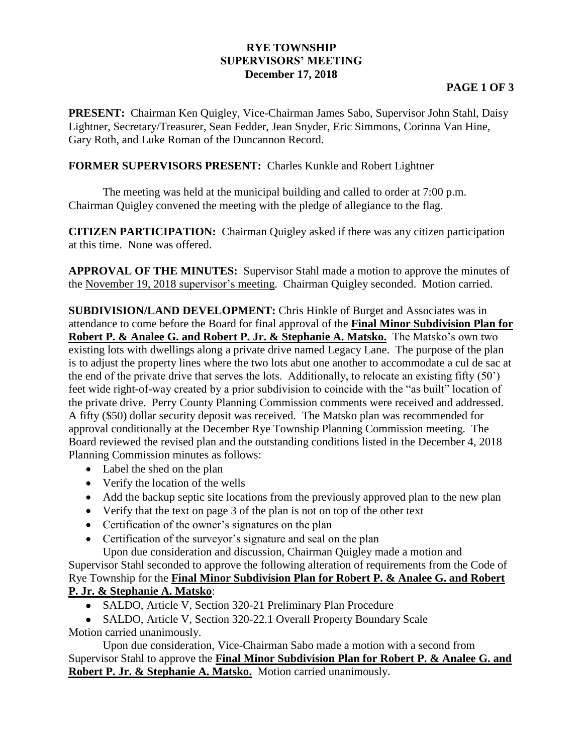## **RYE TOWNSHIP SUPERVISORS' MEETING December 17, 2018**

## **PAGE 1 OF 3**

**PRESENT:** Chairman Ken Quigley, Vice-Chairman James Sabo, Supervisor John Stahl, Daisy Lightner, Secretary/Treasurer, Sean Fedder, Jean Snyder, Eric Simmons, Corinna Van Hine, Gary Roth, and Luke Roman of the Duncannon Record.

## **FORMER SUPERVISORS PRESENT:** Charles Kunkle and Robert Lightner

The meeting was held at the municipal building and called to order at 7:00 p.m. Chairman Quigley convened the meeting with the pledge of allegiance to the flag.

**CITIZEN PARTICIPATION:** Chairman Quigley asked if there was any citizen participation at this time. None was offered.

**APPROVAL OF THE MINUTES:** Supervisor Stahl made a motion to approve the minutes of the November 19, 2018 supervisor's meeting. Chairman Quigley seconded. Motion carried.

**SUBDIVISION/LAND DEVELOPMENT:** Chris Hinkle of Burget and Associates was in attendance to come before the Board for final approval of the **Final Minor Subdivision Plan for Robert P. & Analee G. and Robert P. Jr. & Stephanie A. Matsko.** The Matsko's own two existing lots with dwellings along a private drive named Legacy Lane. The purpose of the plan is to adjust the property lines where the two lots abut one another to accommodate a cul de sac at the end of the private drive that serves the lots. Additionally, to relocate an existing fifty (50') feet wide right-of-way created by a prior subdivision to coincide with the "as built" location of the private drive. Perry County Planning Commission comments were received and addressed. A fifty (\$50) dollar security deposit was received. The Matsko plan was recommended for approval conditionally at the December Rye Township Planning Commission meeting. The Board reviewed the revised plan and the outstanding conditions listed in the December 4, 2018 Planning Commission minutes as follows:

- Label the shed on the plan
- Verify the location of the wells
- Add the backup septic site locations from the previously approved plan to the new plan
- Verify that the text on page 3 of the plan is not on top of the other text
- Certification of the owner's signatures on the plan
- Certification of the surveyor's signature and seal on the plan

Upon due consideration and discussion, Chairman Quigley made a motion and

Supervisor Stahl seconded to approve the following alteration of requirements from the Code of Rye Township for the **Final Minor Subdivision Plan for Robert P. & Analee G. and Robert P. Jr. & Stephanie A. Matsko**:

- SALDO, Article V, Section 320-21 Preliminary Plan Procedure
- SALDO, Article V, Section 320-22.1 Overall Property Boundary Scale Motion carried unanimously.

Upon due consideration, Vice-Chairman Sabo made a motion with a second from Supervisor Stahl to approve the **Final Minor Subdivision Plan for Robert P. & Analee G. and Robert P. Jr. & Stephanie A. Matsko.** Motion carried unanimously.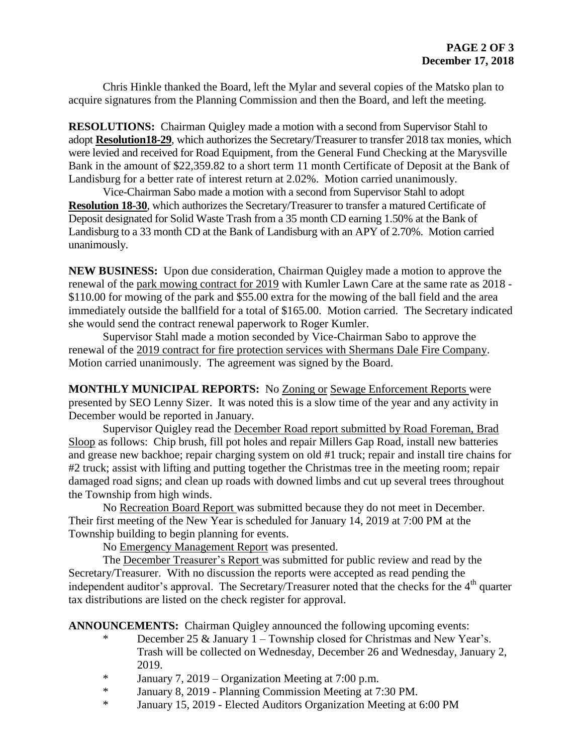Chris Hinkle thanked the Board, left the Mylar and several copies of the Matsko plan to acquire signatures from the Planning Commission and then the Board, and left the meeting.

**RESOLUTIONS:** Chairman Quigley made a motion with a second from Supervisor Stahl to adopt **Resolution18-29**, which authorizes the Secretary/Treasurer to transfer 2018 tax monies, which were levied and received for Road Equipment, from the General Fund Checking at the Marysville Bank in the amount of \$22,359.82 to a short term 11 month Certificate of Deposit at the Bank of Landisburg for a better rate of interest return at 2.02%. Motion carried unanimously.

Vice-Chairman Sabo made a motion with a second from Supervisor Stahl to adopt **Resolution 18-30**, which authorizes the Secretary/Treasurer to transfer a matured Certificate of Deposit designated for Solid Waste Trash from a 35 month CD earning 1.50% at the Bank of Landisburg to a 33 month CD at the Bank of Landisburg with an APY of 2.70%. Motion carried unanimously.

**NEW BUSINESS:** Upon due consideration, Chairman Quigley made a motion to approve the renewal of the park mowing contract for 2019 with Kumler Lawn Care at the same rate as 2018 - \$110.00 for mowing of the park and \$55.00 extra for the mowing of the ball field and the area immediately outside the ballfield for a total of \$165.00. Motion carried.The Secretary indicated she would send the contract renewal paperwork to Roger Kumler.

Supervisor Stahl made a motion seconded by Vice-Chairman Sabo to approve the renewal of the 2019 contract for fire protection services with Shermans Dale Fire Company. Motion carried unanimously. The agreement was signed by the Board.

**MONTHLY MUNICIPAL REPORTS:** No Zoning or Sewage Enforcement Reports were presented by SEO Lenny Sizer. It was noted this is a slow time of the year and any activity in December would be reported in January.

Supervisor Quigley read the December Road report submitted by Road Foreman, Brad Sloop as follows: Chip brush, fill pot holes and repair Millers Gap Road, install new batteries and grease new backhoe; repair charging system on old #1 truck; repair and install tire chains for #2 truck; assist with lifting and putting together the Christmas tree in the meeting room; repair damaged road signs; and clean up roads with downed limbs and cut up several trees throughout the Township from high winds.

No Recreation Board Report was submitted because they do not meet in December. Their first meeting of the New Year is scheduled for January 14, 2019 at 7:00 PM at the Township building to begin planning for events.

No Emergency Management Report was presented.

The December Treasurer's Report was submitted for public review and read by the Secretary/Treasurer. With no discussion the reports were accepted as read pending the independent auditor's approval. The Secretary/Treasurer noted that the checks for the 4<sup>th</sup> quarter tax distributions are listed on the check register for approval.

**ANNOUNCEMENTS:** Chairman Quigley announced the following upcoming events:

- December 25  $\&$  January 1 Township closed for Christmas and New Year's. Trash will be collected on Wednesday, December 26 and Wednesday, January 2, 2019.
- \* January 7, 2019 Organization Meeting at 7:00 p.m.
- \* January 8, 2019 Planning Commission Meeting at 7:30 PM.
- \* January 15, 2019 Elected Auditors Organization Meeting at 6:00 PM